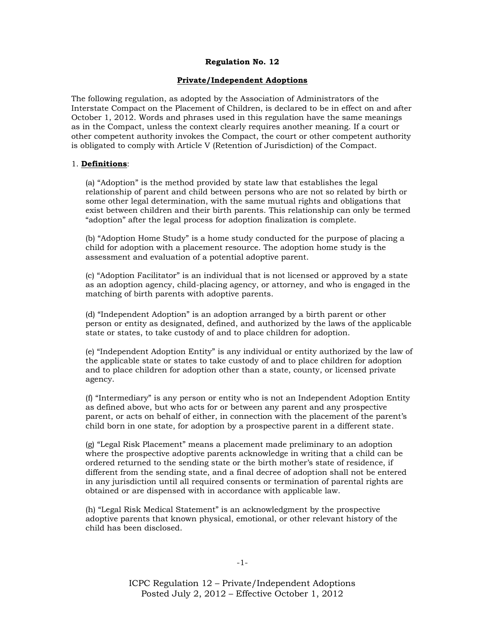# **Regulation No. 12**

# **Private/Independent Adoptions**

The following regulation, as adopted by the Association of Administrators of the Interstate Compact on the Placement of Children, is declared to be in effect on and after October 1, 2012. Words and phrases used in this regulation have the same meanings as in the Compact, unless the context clearly requires another meaning. If a court or other competent authority invokes the Compact, the court or other competent authority is obligated to comply with Article V (Retention of Jurisdiction) of the Compact.

### 1. **Definitions**:

(a) "Adoption" is the method provided by state law that establishes the legal relationship of parent and child between persons who are not so related by birth or some other legal determination, with the same mutual rights and obligations that exist between children and their birth parents. This relationship can only be termed "adoption" after the legal process for adoption finalization is complete.

(b) "Adoption Home Study" is a home study conducted for the purpose of placing a child for adoption with a placement resource. The adoption home study is the assessment and evaluation of a potential adoptive parent.

(c) ―Adoption Facilitator‖ is an individual that is not licensed or approved by a state as an adoption agency, child-placing agency, or attorney, and who is engaged in the matching of birth parents with adoptive parents.

(d) "Independent Adoption" is an adoption arranged by a birth parent or other person or entity as designated, defined, and authorized by the laws of the applicable state or states, to take custody of and to place children for adoption.

(e) "Independent Adoption Entity" is any individual or entity authorized by the law of the applicable state or states to take custody of and to place children for adoption and to place children for adoption other than a state, county, or licensed private agency.

 $(f)$  "Intermediary" is any person or entity who is not an Independent Adoption Entity as defined above, but who acts for or between any parent and any prospective parent, or acts on behalf of either, in connection with the placement of the parent's child born in one state, for adoption by a prospective parent in a different state.

(g) "Legal Risk Placement" means a placement made preliminary to an adoption where the prospective adoptive parents acknowledge in writing that a child can be ordered returned to the sending state or the birth mother's state of residence, if different from the sending state, and a final decree of adoption shall not be entered in any jurisdiction until all required consents or termination of parental rights are obtained or are dispensed with in accordance with applicable law.

(h) "Legal Risk Medical Statement" is an acknowledgment by the prospective adoptive parents that known physical, emotional, or other relevant history of the child has been disclosed.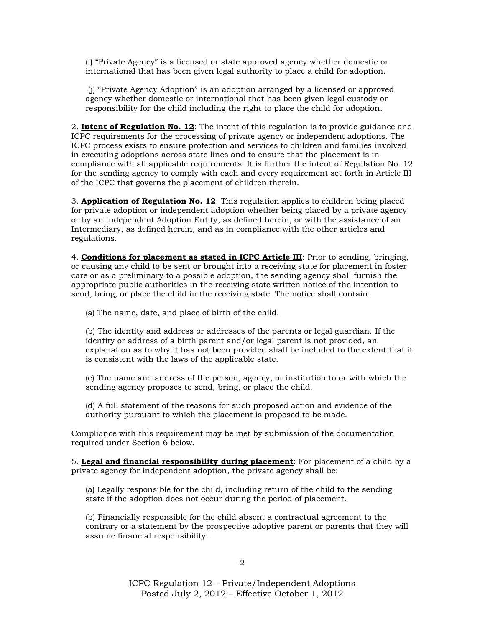(i) ―Private Agency‖ is a licensed or state approved agency whether domestic or international that has been given legal authority to place a child for adoption.

(j) ―Private Agency Adoption‖ is an adoption arranged by a licensed or approved agency whether domestic or international that has been given legal custody or responsibility for the child including the right to place the child for adoption.

2. **Intent of Regulation No. 12**: The intent of this regulation is to provide guidance and ICPC requirements for the processing of private agency or independent adoptions. The ICPC process exists to ensure protection and services to children and families involved in executing adoptions across state lines and to ensure that the placement is in compliance with all applicable requirements. It is further the intent of Regulation No. 12 for the sending agency to comply with each and every requirement set forth in Article III of the ICPC that governs the placement of children therein.

3. **Application of Regulation No. 12**: This regulation applies to children being placed for private adoption or independent adoption whether being placed by a private agency or by an Independent Adoption Entity, as defined herein, or with the assistance of an Intermediary, as defined herein, and as in compliance with the other articles and regulations.

4. **Conditions for placement as stated in ICPC Article III**: Prior to sending, bringing, or causing any child to be sent or brought into a receiving state for placement in foster care or as a preliminary to a possible adoption, the sending agency shall furnish the appropriate public authorities in the receiving state written notice of the intention to send, bring, or place the child in the receiving state. The notice shall contain:

(a) The name, date, and place of birth of the child.

(b) The identity and address or addresses of the parents or legal guardian. If the identity or address of a birth parent and/or legal parent is not provided, an explanation as to why it has not been provided shall be included to the extent that it is consistent with the laws of the applicable state.

(c) The name and address of the person, agency, or institution to or with which the sending agency proposes to send, bring, or place the child.

(d) A full statement of the reasons for such proposed action and evidence of the authority pursuant to which the placement is proposed to be made.

Compliance with this requirement may be met by submission of the documentation required under Section 6 below.

5. **Legal and financial responsibility during placement**: For placement of a child by a private agency for independent adoption, the private agency shall be:

(a) Legally responsible for the child, including return of the child to the sending state if the adoption does not occur during the period of placement.

(b) Financially responsible for the child absent a contractual agreement to the contrary or a statement by the prospective adoptive parent or parents that they will assume financial responsibility.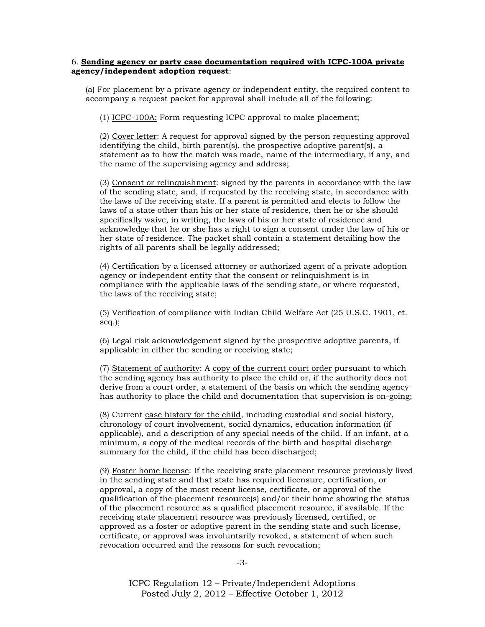## 6. **Sending agency or party case documentation required with ICPC-100A private agency/independent adoption request**:

(a) For placement by a private agency or independent entity, the required content to accompany a request packet for approval shall include all of the following:

(1) ICPC-100A: Form requesting ICPC approval to make placement;

(2) Cover letter: A request for approval signed by the person requesting approval identifying the child, birth parent(s), the prospective adoptive parent(s), a statement as to how the match was made, name of the intermediary, if any, and the name of the supervising agency and address;

(3) Consent or relinquishment: signed by the parents in accordance with the law of the sending state, and, if requested by the receiving state, in accordance with the laws of the receiving state. If a parent is permitted and elects to follow the laws of a state other than his or her state of residence, then he or she should specifically waive, in writing, the laws of his or her state of residence and acknowledge that he or she has a right to sign a consent under the law of his or her state of residence. The packet shall contain a statement detailing how the rights of all parents shall be legally addressed;

(4) Certification by a licensed attorney or authorized agent of a private adoption agency or independent entity that the consent or relinquishment is in compliance with the applicable laws of the sending state, or where requested, the laws of the receiving state;

(5) Verification of compliance with Indian Child Welfare Act (25 U.S.C. 1901, et. seq.);

(6) Legal risk acknowledgement signed by the prospective adoptive parents, if applicable in either the sending or receiving state;

(7) Statement of authority: A copy of the current court order pursuant to which the sending agency has authority to place the child or, if the authority does not derive from a court order, a statement of the basis on which the sending agency has authority to place the child and documentation that supervision is on-going;

(8) Current case history for the child, including custodial and social history, chronology of court involvement, social dynamics, education information (if applicable), and a description of any special needs of the child. If an infant, at a minimum, a copy of the medical records of the birth and hospital discharge summary for the child, if the child has been discharged;

(9) Foster home license: If the receiving state placement resource previously lived in the sending state and that state has required licensure, certification, or approval, a copy of the most recent license, certificate, or approval of the qualification of the placement resource(s) and/or their home showing the status of the placement resource as a qualified placement resource, if available. If the receiving state placement resource was previously licensed, certified, or approved as a foster or adoptive parent in the sending state and such license, certificate, or approval was involuntarily revoked, a statement of when such revocation occurred and the reasons for such revocation;

-3-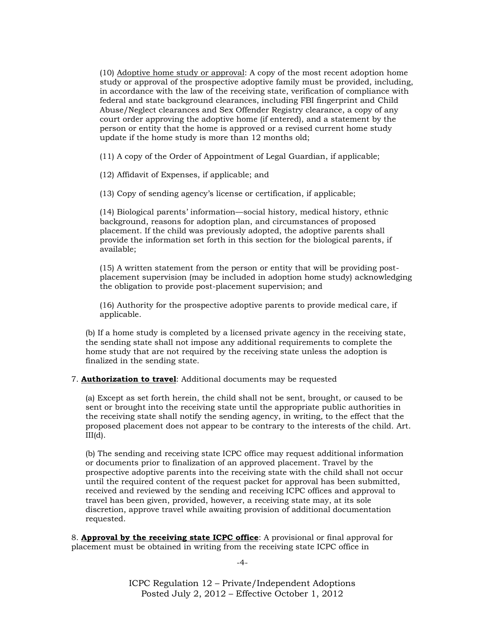(10) Adoptive home study or approval: A copy of the most recent adoption home study or approval of the prospective adoptive family must be provided, including, in accordance with the law of the receiving state, verification of compliance with federal and state background clearances, including FBI fingerprint and Child Abuse/Neglect clearances and Sex Offender Registry clearance, a copy of any court order approving the adoptive home (if entered), and a statement by the person or entity that the home is approved or a revised current home study update if the home study is more than 12 months old;

(11) A copy of the Order of Appointment of Legal Guardian, if applicable;

(12) Affidavit of Expenses, if applicable; and

(13) Copy of sending agency's license or certification, if applicable;

(14) Biological parents' information—social history, medical history, ethnic background, reasons for adoption plan, and circumstances of proposed placement. If the child was previously adopted, the adoptive parents shall provide the information set forth in this section for the biological parents, if available;

(15) A written statement from the person or entity that will be providing postplacement supervision (may be included in adoption home study) acknowledging the obligation to provide post-placement supervision; and

(16) Authority for the prospective adoptive parents to provide medical care, if applicable.

(b) If a home study is completed by a licensed private agency in the receiving state, the sending state shall not impose any additional requirements to complete the home study that are not required by the receiving state unless the adoption is finalized in the sending state.

#### 7. **Authorization to travel**: Additional documents may be requested

(a) Except as set forth herein, the child shall not be sent, brought, or caused to be sent or brought into the receiving state until the appropriate public authorities in the receiving state shall notify the sending agency, in writing, to the effect that the proposed placement does not appear to be contrary to the interests of the child. Art.  $III(d)$ .

(b) The sending and receiving state ICPC office may request additional information or documents prior to finalization of an approved placement. Travel by the prospective adoptive parents into the receiving state with the child shall not occur until the required content of the request packet for approval has been submitted, received and reviewed by the sending and receiving ICPC offices and approval to travel has been given, provided, however, a receiving state may, at its sole discretion, approve travel while awaiting provision of additional documentation requested.

8. **Approval by the receiving state ICPC office**: A provisional or final approval for placement must be obtained in writing from the receiving state ICPC office in

-4-